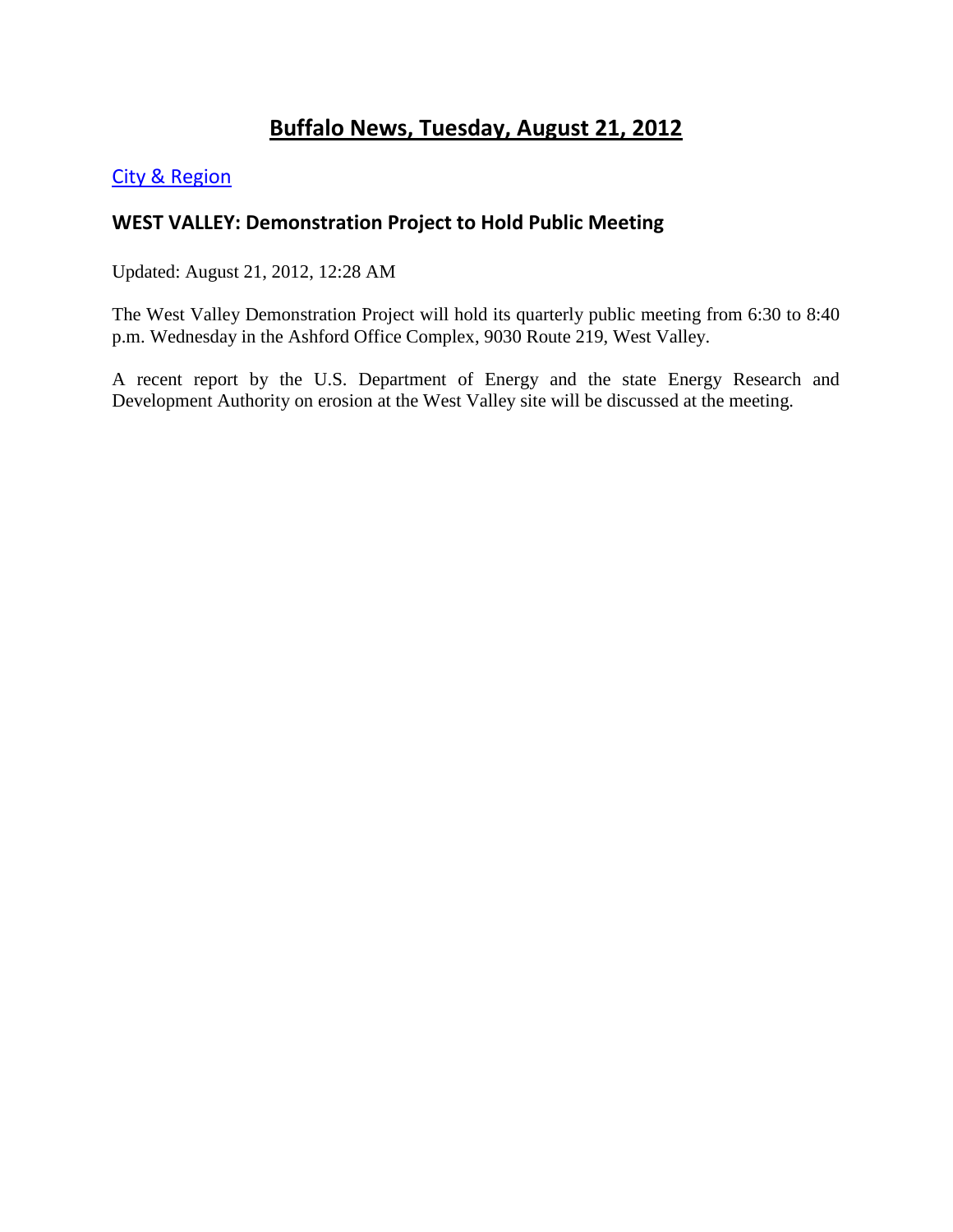# **Buffalo News, Tuesday, August 21, 2012**

### [City & Region](http://www.buffalonews.com/city/)

### **WEST VALLEY: Demonstration Project to Hold Public Meeting**

Updated: August 21, 2012, 12:28 AM

The West Valley Demonstration Project will hold its quarterly public meeting from 6:30 to 8:40 p.m. Wednesday in the Ashford Office Complex, 9030 Route 219, West Valley.

A recent report by the U.S. Department of Energy and the state Energy Research and Development Authority on erosion at the West Valley site will be discussed at the meeting.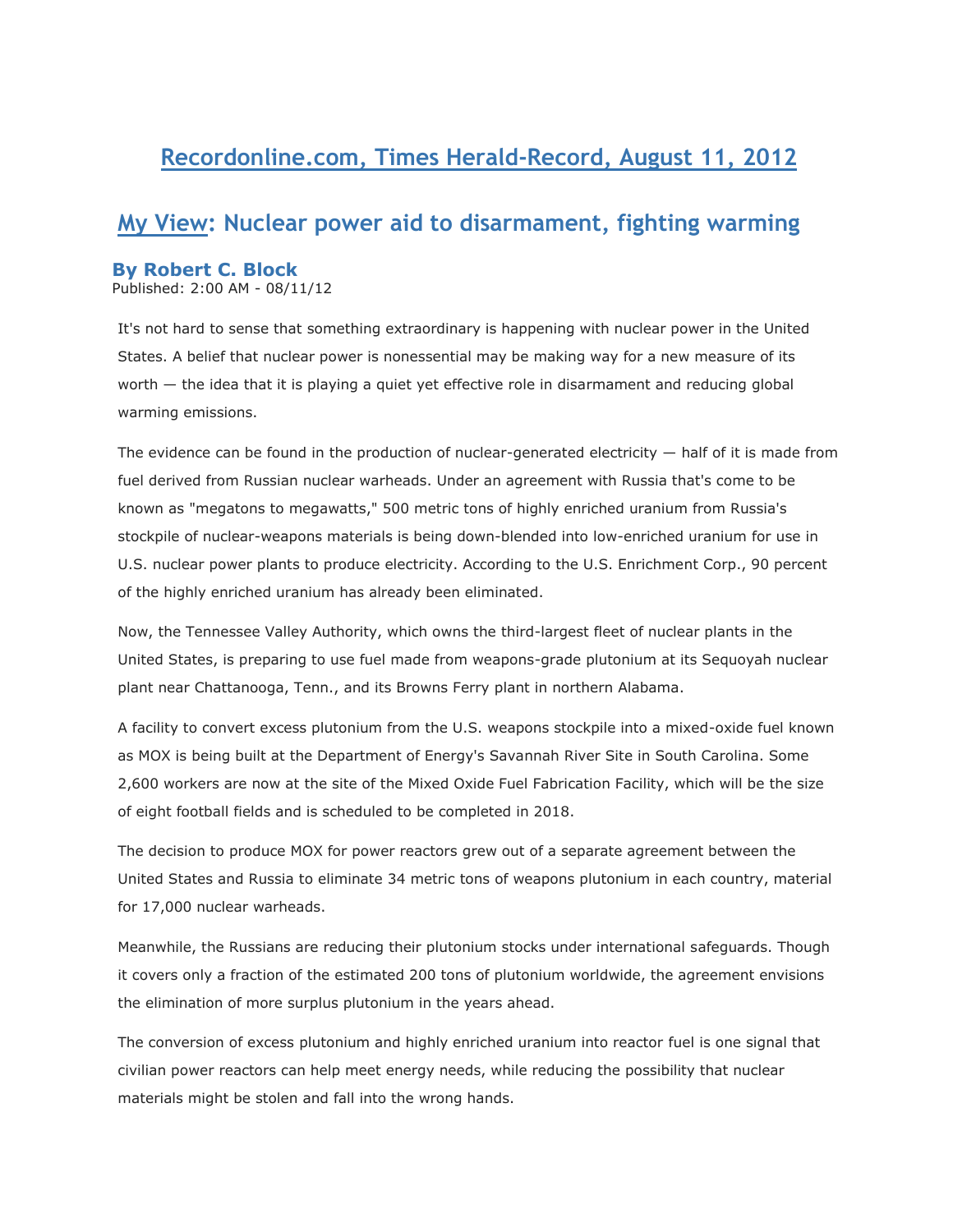# **Recordonline.com, Times Herald-Record, August 11, 2012**

## **My View: Nuclear power aid to disarmament, fighting warming**

#### **By Robert C. Block**

Published: 2:00 AM - 08/11/12

It's not hard to sense that something extraordinary is happening with nuclear power in the United States. A belief that nuclear power is nonessential may be making way for a new measure of its worth — the idea that it is playing a quiet yet effective role in disarmament and reducing global warming emissions.

The evidence can be found in the production of nuclear-generated electricity — half of it is made from fuel derived from Russian nuclear warheads. Under an agreement with Russia that's come to be known as "megatons to megawatts," 500 metric tons of highly enriched uranium from Russia's stockpile of nuclear-weapons materials is being down-blended into low-enriched uranium for use in U.S. nuclear power plants to produce electricity. According to the U.S. Enrichment Corp., 90 percent of the highly enriched uranium has already been eliminated.

Now, the Tennessee Valley Authority, which owns the third-largest fleet of nuclear plants in the United States, is preparing to use fuel made from weapons-grade plutonium at its Sequoyah nuclear plant near Chattanooga, Tenn., and its Browns Ferry plant in northern Alabama.

A facility to convert excess plutonium from the U.S. weapons stockpile into a mixed-oxide fuel known as MOX is being built at the Department of Energy's Savannah River Site in South Carolina. Some 2,600 workers are now at the site of the Mixed Oxide Fuel Fabrication Facility, which will be the size of eight football fields and is scheduled to be completed in 2018.

The decision to produce MOX for power reactors grew out of a separate agreement between the United States and Russia to eliminate 34 metric tons of weapons plutonium in each country, material for 17,000 nuclear warheads.

Meanwhile, the Russians are reducing their plutonium stocks under international safeguards. Though it covers only a fraction of the estimated 200 tons of plutonium worldwide, the agreement envisions the elimination of more surplus plutonium in the years ahead.

The conversion of excess plutonium and highly enriched uranium into reactor fuel is one signal that civilian power reactors can help meet energy needs, while reducing the possibility that nuclear materials might be stolen and fall into the wrong hands.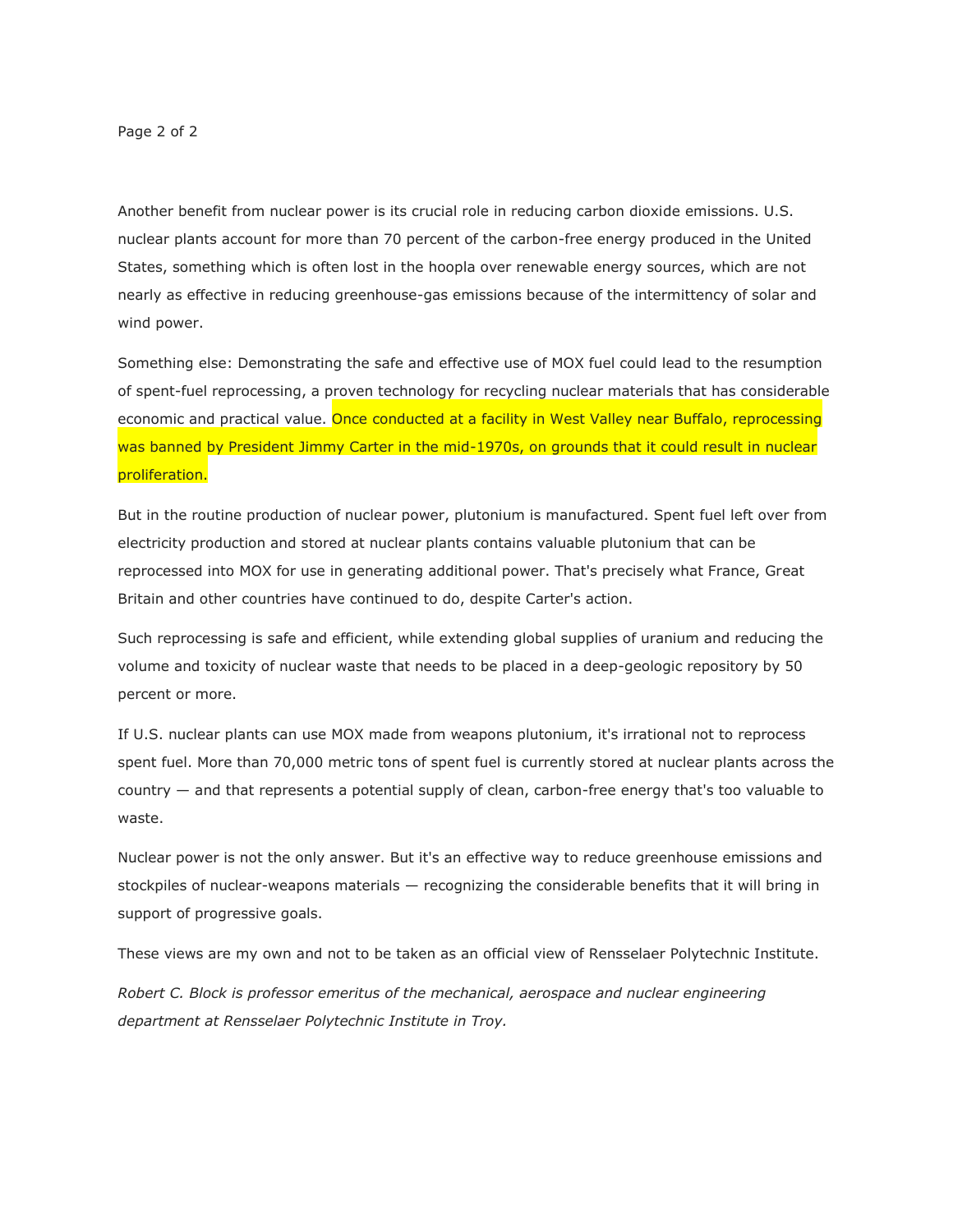Page 2 of 2

Another benefit from nuclear power is its crucial role in reducing carbon dioxide emissions. U.S. nuclear plants account for more than 70 percent of the carbon-free energy produced in the United States, something which is often lost in the hoopla over renewable energy sources, which are not nearly as effective in reducing greenhouse-gas emissions because of the intermittency of solar and wind power.

Something else: Demonstrating the safe and effective use of MOX fuel could lead to the resumption of spent-fuel reprocessing, a proven technology for recycling nuclear materials that has considerable economic and practical value. Once conducted at a facility in West Valley near Buffalo, reprocessing was banned by President Jimmy Carter in the mid-1970s, on grounds that it could result in nuclear proliferation.

But in the routine production of nuclear power, plutonium is manufactured. Spent fuel left over from electricity production and stored at nuclear plants contains valuable plutonium that can be reprocessed into MOX for use in generating additional power. That's precisely what France, Great Britain and other countries have continued to do, despite Carter's action.

Such reprocessing is safe and efficient, while extending global supplies of uranium and reducing the volume and toxicity of nuclear waste that needs to be placed in a deep-geologic repository by 50 percent or more.

If U.S. nuclear plants can use MOX made from weapons plutonium, it's irrational not to reprocess spent fuel. More than 70,000 metric tons of spent fuel is currently stored at nuclear plants across the country — and that represents a potential supply of clean, carbon-free energy that's too valuable to waste.

Nuclear power is not the only answer. But it's an effective way to reduce greenhouse emissions and stockpiles of nuclear-weapons materials — recognizing the considerable benefits that it will bring in support of progressive goals.

These views are my own and not to be taken as an official view of Rensselaer Polytechnic Institute.

*Robert C. Block is professor emeritus of the mechanical, aerospace and nuclear engineering department at Rensselaer Polytechnic Institute in Troy.*